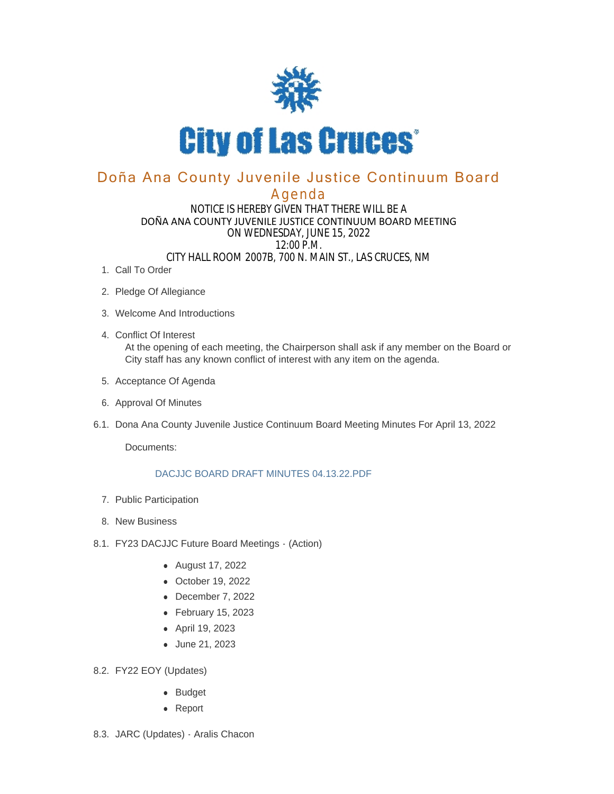

# Doña Ana County Juvenile Justice Continuum Board

## Agenda

#### NOTICE IS HEREBY GIVEN THAT THERE WILL BE A DOÑA ANA COUNTY JUVENILE JUSTICE CONTINUUM BOARD MEETING ON WEDNESDAY, JUNE 15, 2022 12:00 P.M. CITY HALL ROOM 2007B, 700 N. MAIN ST., LAS CRUCES, NM

- 1. Call To Order
- 2. Pledge Of Allegiance
- Welcome And Introductions 3.
- Conflict Of Interest 4. At the opening of each meeting, the Chairperson shall ask if any member on the Board or City staff has any known conflict of interest with any item on the agenda.
- 5. Acceptance Of Agenda
- 6. Approval Of Minutes
- 6.1. Dona Ana County Juvenile Justice Continuum Board Meeting Minutes For April 13, 2022

Documents:

#### DACJJC BOARD DRAFT MINUTES 04.13.22.PDF

- 7. Public Participation
- 8. New Business
- 8.1. FY23 DACJJC Future Board Meetings (Action)
	- August 17, 2022
	- October 19, 2022
	- $\bullet$  December 7, 2022
	- $\bullet$  February 15, 2023
	- April 19, 2023
	- June 21, 2023
- FY22 EOY (Updates) 8.2.
	- Budget
	- Report
- 8.3. JARC (Updates) Aralis Chacon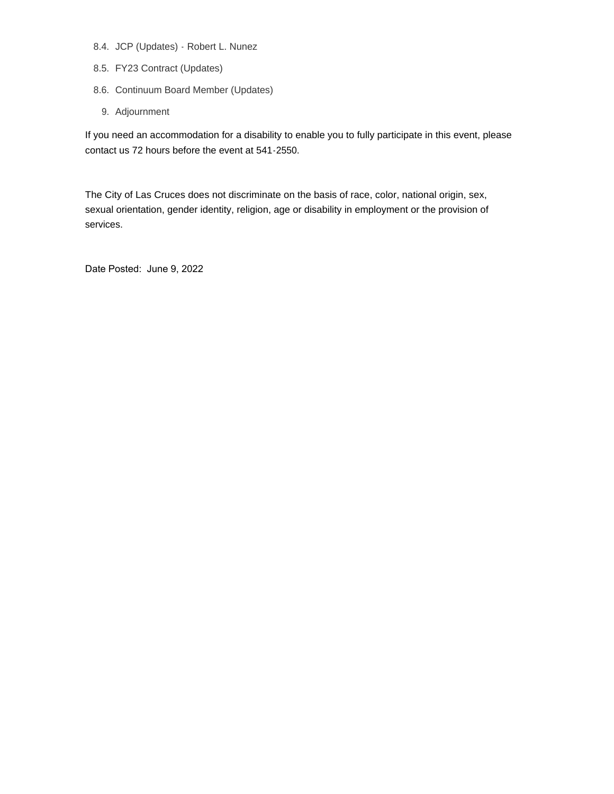- 8.4. JCP (Updates) Robert L. Nunez
- FY23 Contract (Updates) 8.5.
- 8.6. Continuum Board Member (Updates)
	- 9. Adjournment

If you need an accommodation for a disability to enable you to fully participate in this event, please contact us 72 hours before the event at 541-2550.

The City of Las Cruces does not discriminate on the basis of race, color, national origin, sex, sexual orientation, gender identity, religion, age or disability in employment or the provision of services.

Date Posted: June 9, 2022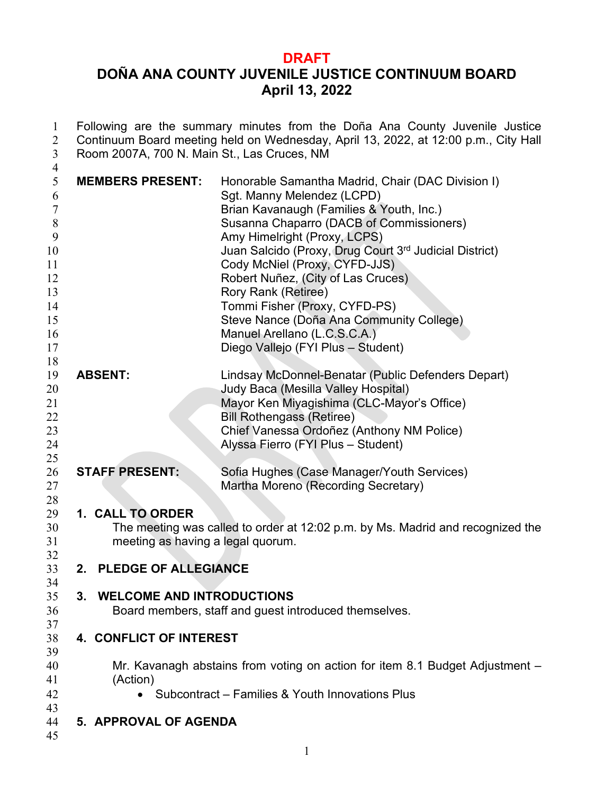## **DRAFT**

# **DOÑA ANA COUNTY JUVENILE JUSTICE CONTINUUM BOARD April 13, 2022**

| 1<br>$\overline{2}$<br>3                                                                           | Following are the summary minutes from the Doña Ana County Juvenile Justice<br>Continuum Board meeting held on Wednesday, April 13, 2022, at 12:00 p.m., City Hall<br>Room 2007A, 700 N. Main St., Las Cruces, NM |                                                                                                                                                                                                                                                                                                                                                                                                                                                                                                                    |  |
|----------------------------------------------------------------------------------------------------|-------------------------------------------------------------------------------------------------------------------------------------------------------------------------------------------------------------------|--------------------------------------------------------------------------------------------------------------------------------------------------------------------------------------------------------------------------------------------------------------------------------------------------------------------------------------------------------------------------------------------------------------------------------------------------------------------------------------------------------------------|--|
| $\overline{4}$<br>5<br>6<br>$\tau$<br>8<br>9<br>10<br>11<br>12<br>13<br>14<br>15<br>16<br>17<br>18 | <b>MEMBERS PRESENT:</b>                                                                                                                                                                                           | Honorable Samantha Madrid, Chair (DAC Division I)<br>Sgt. Manny Melendez (LCPD)<br>Brian Kavanaugh (Families & Youth, Inc.)<br>Susanna Chaparro (DACB of Commissioners)<br>Amy Himelright (Proxy, LCPS)<br>Juan Salcido (Proxy, Drug Court 3rd Judicial District)<br>Cody McNiel (Proxy, CYFD-JJS)<br>Robert Nuñez, (City of Las Cruces)<br>Rory Rank (Retiree)<br>Tommi Fisher (Proxy, CYFD-PS)<br>Steve Nance (Doña Ana Community College)<br>Manuel Arellano (L.C.S.C.A.)<br>Diego Vallejo (FYI Plus - Student) |  |
| 19<br>20<br>21<br>22<br>23<br>24<br>25                                                             | <b>ABSENT:</b>                                                                                                                                                                                                    | Lindsay McDonnel-Benatar (Public Defenders Depart)<br>Judy Baca (Mesilla Valley Hospital)<br>Mayor Ken Miyagishima (CLC-Mayor's Office)<br><b>Bill Rothengass (Retiree)</b><br>Chief Vanessa Ordoñez (Anthony NM Police)<br>Alyssa Fierro (FYI Plus - Student)                                                                                                                                                                                                                                                     |  |
| 26<br>27<br>28                                                                                     | <b>STAFF PRESENT:</b>                                                                                                                                                                                             | Sofia Hughes (Case Manager/Youth Services)<br>Martha Moreno (Recording Secretary)                                                                                                                                                                                                                                                                                                                                                                                                                                  |  |
| 29<br>30<br>31<br>32                                                                               | 1. CALL TO ORDER<br>meeting as having a legal quorum.                                                                                                                                                             | The meeting was called to order at 12:02 p.m. by Ms. Madrid and recognized the                                                                                                                                                                                                                                                                                                                                                                                                                                     |  |
| 33<br>34                                                                                           | 2. PLEDGE OF ALLEGIANCE                                                                                                                                                                                           |                                                                                                                                                                                                                                                                                                                                                                                                                                                                                                                    |  |
| 35<br>36                                                                                           | <b>WELCOME AND INTRODUCTIONS</b><br>3.                                                                                                                                                                            | Board members, staff and guest introduced themselves.                                                                                                                                                                                                                                                                                                                                                                                                                                                              |  |
| 37<br>38<br>39                                                                                     | 4. CONFLICT OF INTEREST                                                                                                                                                                                           |                                                                                                                                                                                                                                                                                                                                                                                                                                                                                                                    |  |
| 40<br>41<br>42                                                                                     | (Action)                                                                                                                                                                                                          | Mr. Kavanagh abstains from voting on action for item 8.1 Budget Adjustment -<br>Subcontract – Families & Youth Innovations Plus                                                                                                                                                                                                                                                                                                                                                                                    |  |
| 43<br>44<br>45                                                                                     | 5. APPROVAL OF AGENDA                                                                                                                                                                                             |                                                                                                                                                                                                                                                                                                                                                                                                                                                                                                                    |  |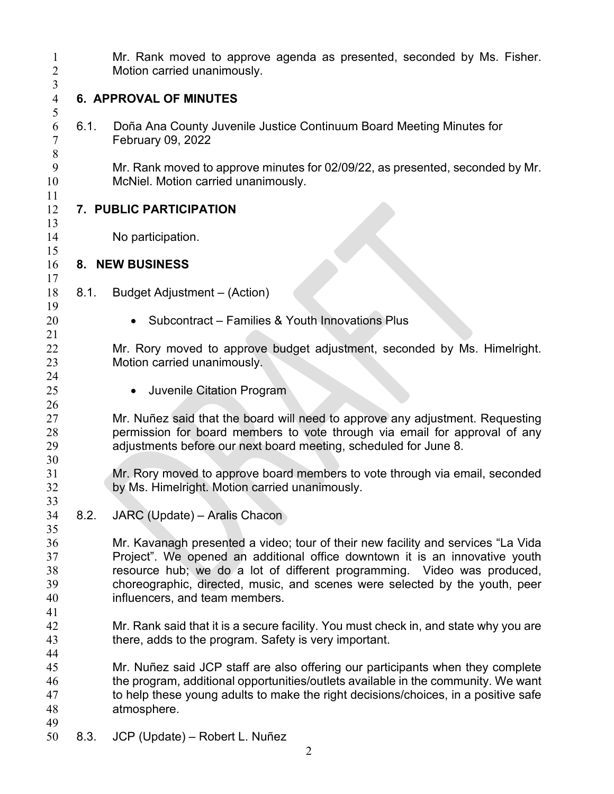| $\mathbf{1}$<br>$\overline{2}$   |                         | Mr. Rank moved to approve agenda as presented, seconded by Ms. Fisher.<br>Motion carried unanimously.                                                                                                                                                                                                                                                       |  |  |
|----------------------------------|-------------------------|-------------------------------------------------------------------------------------------------------------------------------------------------------------------------------------------------------------------------------------------------------------------------------------------------------------------------------------------------------------|--|--|
| 3<br>$\overline{4}$              |                         | <b>6. APPROVAL OF MINUTES</b>                                                                                                                                                                                                                                                                                                                               |  |  |
| 5<br>6<br>7<br>$8\,$             | 6.1.                    | Doña Ana County Juvenile Justice Continuum Board Meeting Minutes for<br>February 09, 2022                                                                                                                                                                                                                                                                   |  |  |
| 9<br>10<br>11                    |                         | Mr. Rank moved to approve minutes for 02/09/22, as presented, seconded by Mr.<br>McNiel. Motion carried unanimously.                                                                                                                                                                                                                                        |  |  |
| 12                               | 7. PUBLIC PARTICIPATION |                                                                                                                                                                                                                                                                                                                                                             |  |  |
| 13<br>14                         |                         | No participation.                                                                                                                                                                                                                                                                                                                                           |  |  |
| 15<br>16                         | 8. NEW BUSINESS         |                                                                                                                                                                                                                                                                                                                                                             |  |  |
| 17<br>18                         | 8.1.                    | Budget Adjustment - (Action)                                                                                                                                                                                                                                                                                                                                |  |  |
| 19<br>20                         |                         | Subcontract - Families & Youth Innovations Plus                                                                                                                                                                                                                                                                                                             |  |  |
| 21<br>22<br>23                   |                         | Mr. Rory moved to approve budget adjustment, seconded by Ms. Himelright.<br>Motion carried unanimously.                                                                                                                                                                                                                                                     |  |  |
| 24<br>25                         |                         | <b>Juvenile Citation Program</b><br>$\bullet$                                                                                                                                                                                                                                                                                                               |  |  |
| 26<br>27<br>28<br>29             |                         | Mr. Nuñez said that the board will need to approve any adjustment. Requesting<br>permission for board members to vote through via email for approval of any<br>adjustments before our next board meeting, scheduled for June 8.                                                                                                                             |  |  |
| 30<br>31<br>32                   |                         | Mr. Rory moved to approve board members to vote through via email, seconded<br>by Ms. Himelright. Motion carried unanimously.                                                                                                                                                                                                                               |  |  |
| 33<br>34                         | 8.2.                    | JARC (Update) - Aralis Chacon                                                                                                                                                                                                                                                                                                                               |  |  |
| 35<br>36<br>37<br>38<br>39<br>40 |                         | Mr. Kavanagh presented a video; tour of their new facility and services "La Vida<br>Project". We opened an additional office downtown it is an innovative youth<br>resource hub; we do a lot of different programming. Video was produced,<br>choreographic, directed, music, and scenes were selected by the youth, peer<br>influencers, and team members. |  |  |
| 41<br>42<br>43                   |                         | Mr. Rank said that it is a secure facility. You must check in, and state why you are<br>there, adds to the program. Safety is very important.                                                                                                                                                                                                               |  |  |
| 44<br>45<br>46<br>47<br>48       |                         | Mr. Nuñez said JCP staff are also offering our participants when they complete<br>the program, additional opportunities/outlets available in the community. We want<br>to help these young adults to make the right decisions/choices, in a positive safe<br>atmosphere.                                                                                    |  |  |
| 49<br>50                         | 8.3.                    | JCP (Update) – Robert L. Nuñez                                                                                                                                                                                                                                                                                                                              |  |  |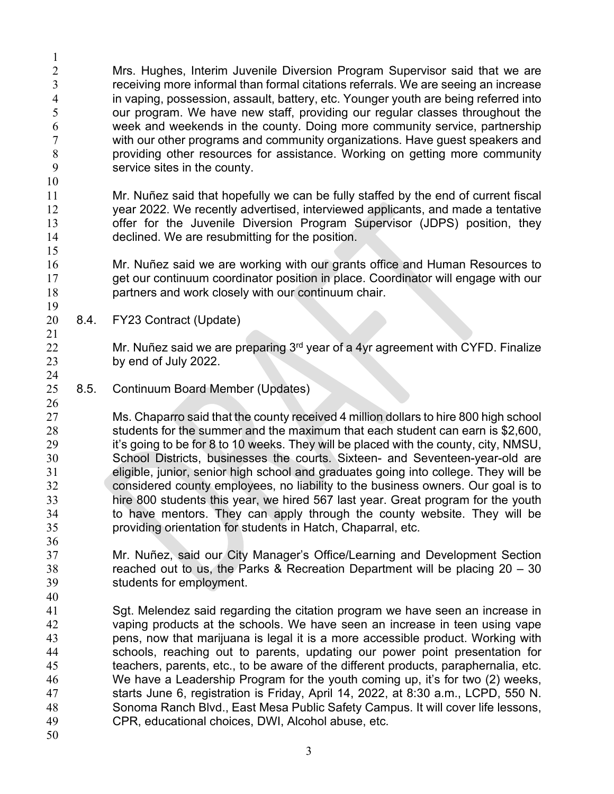Mrs. Hughes, Interim Juvenile Diversion Program Supervisor said that we are receiving more informal than formal citations referrals. We are seeing an increase in vaping, possession, assault, battery, etc. Younger youth are being referred into our program. We have new staff, providing our regular classes throughout the week and weekends in the county. Doing more community service, partnership with our other programs and community organizations. Have guest speakers and providing other resources for assistance. Working on getting more community service sites in the county. 

 Mr. Nuñez said that hopefully we can be fully staffed by the end of current fiscal year 2022. We recently advertised, interviewed applicants, and made a tentative offer for the Juvenile Diversion Program Supervisor (JDPS) position, they declined. We are resubmitting for the position.

 Mr. Nuñez said we are working with our grants office and Human Resources to get our continuum coordinator position in place. Coordinator will engage with our partners and work closely with our continuum chair.

8.4. FY23 Contract (Update)

22 Mr. Nuñez said we are preparing  $3<sup>rd</sup>$  year of a 4yr agreement with CYFD. Finalize by end of July 2022.

8.5. Continuum Board Member (Updates)

 Ms. Chaparro said that the county received 4 million dollars to hire 800 high school students for the summer and the maximum that each student can earn is \$2,600, 29 it's going to be for 8 to 10 weeks. They will be placed with the county, city, NMSU, School Districts, businesses the courts. Sixteen- and Seventeen-year-old are eligible, junior, senior high school and graduates going into college. They will be considered county employees, no liability to the business owners. Our goal is to hire 800 students this year, we hired 567 last year. Great program for the youth to have mentors. They can apply through the county website. They will be providing orientation for students in Hatch, Chaparral, etc.

- Mr. Nuñez, said our City Manager's Office/Learning and Development Section reached out to us, the Parks & Recreation Department will be placing 20 – 30 students for employment.
- Sgt. Melendez said regarding the citation program we have seen an increase in vaping products at the schools. We have seen an increase in teen using vape pens, now that marijuana is legal it is a more accessible product. Working with schools, reaching out to parents, updating our power point presentation for teachers, parents, etc., to be aware of the different products, paraphernalia, etc. We have a Leadership Program for the youth coming up, it's for two (2) weeks, starts June 6, registration is Friday, April 14, 2022, at 8:30 a.m., LCPD, 550 N. Sonoma Ranch Blvd., East Mesa Public Safety Campus. It will cover life lessons, CPR, educational choices, DWI, Alcohol abuse, etc.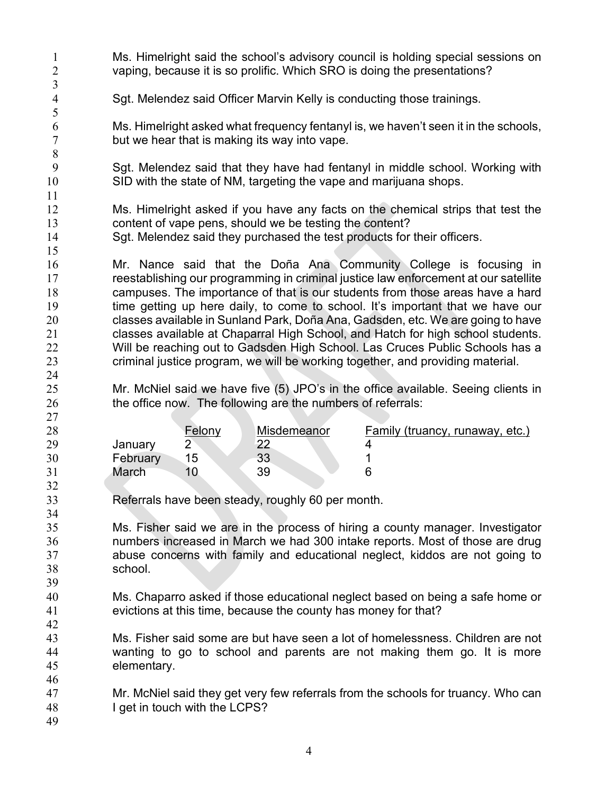| $\mathbf 1$<br>$\overline{2}$<br>$\mathfrak{Z}$    | Ms. Himelright said the school's advisory council is holding special sessions on<br>vaping, because it is so prolific. Which SRO is doing the presentations?                                                                                                                                                                                                                                                                                                                                                                                                                                                                                                        |
|----------------------------------------------------|---------------------------------------------------------------------------------------------------------------------------------------------------------------------------------------------------------------------------------------------------------------------------------------------------------------------------------------------------------------------------------------------------------------------------------------------------------------------------------------------------------------------------------------------------------------------------------------------------------------------------------------------------------------------|
| $\overline{4}$                                     | Sgt. Melendez said Officer Marvin Kelly is conducting those trainings.                                                                                                                                                                                                                                                                                                                                                                                                                                                                                                                                                                                              |
| 5<br>6<br>$\tau$<br>8                              | Ms. Himelright asked what frequency fentanyl is, we haven't seen it in the schools,<br>but we hear that is making its way into vape.                                                                                                                                                                                                                                                                                                                                                                                                                                                                                                                                |
| 9<br>10                                            | Sgt. Melendez said that they have had fentanyl in middle school. Working with<br>SID with the state of NM, targeting the vape and marijuana shops.                                                                                                                                                                                                                                                                                                                                                                                                                                                                                                                  |
| 11<br>12<br>13<br>14<br>15                         | Ms. Himelright asked if you have any facts on the chemical strips that test the<br>content of vape pens, should we be testing the content?<br>Sgt. Melendez said they purchased the test products for their officers.                                                                                                                                                                                                                                                                                                                                                                                                                                               |
| 16<br>17<br>18<br>19<br>20<br>21<br>22<br>23<br>24 | Mr. Nance said that the Doña Ana Community College is focusing in<br>reestablishing our programming in criminal justice law enforcement at our satellite<br>campuses. The importance of that is our students from those areas have a hard<br>time getting up here daily, to come to school. It's important that we have our<br>classes available in Sunland Park, Doña Ana, Gadsden, etc. We are going to have<br>classes available at Chaparral High School, and Hatch for high school students.<br>Will be reaching out to Gadsden High School. Las Cruces Public Schools has a<br>criminal justice program, we will be working together, and providing material. |
| 25<br>26<br>27                                     | Mr. McNiel said we have five (5) JPO's in the office available. Seeing clients in<br>the office now. The following are the numbers of referrals:                                                                                                                                                                                                                                                                                                                                                                                                                                                                                                                    |
| 28<br>29<br>30<br>31                               | Misdemeanor<br>Felony<br><b>Family (truancy, runaway, etc.)</b><br>$\overline{2}$<br>22<br>4<br>January<br>15<br>33<br>February<br>1<br>6<br>March<br>10<br>39                                                                                                                                                                                                                                                                                                                                                                                                                                                                                                      |
| 32<br>33                                           | Referrals have been steady, roughly 60 per month.                                                                                                                                                                                                                                                                                                                                                                                                                                                                                                                                                                                                                   |
| 34<br>35<br>36<br>37<br>38                         | Ms. Fisher said we are in the process of hiring a county manager. Investigator<br>numbers increased in March we had 300 intake reports. Most of those are drug<br>abuse concerns with family and educational neglect, kiddos are not going to<br>school.                                                                                                                                                                                                                                                                                                                                                                                                            |
| 39<br>40<br>41<br>42                               | Ms. Chaparro asked if those educational neglect based on being a safe home or<br>evictions at this time, because the county has money for that?                                                                                                                                                                                                                                                                                                                                                                                                                                                                                                                     |
| 43<br>44<br>45<br>46                               | Ms. Fisher said some are but have seen a lot of homelessness. Children are not<br>wanting to go to school and parents are not making them go. It is more<br>elementary.                                                                                                                                                                                                                                                                                                                                                                                                                                                                                             |
| 47<br>48<br>49                                     | Mr. McNiel said they get very few referrals from the schools for truancy. Who can<br>I get in touch with the LCPS?                                                                                                                                                                                                                                                                                                                                                                                                                                                                                                                                                  |